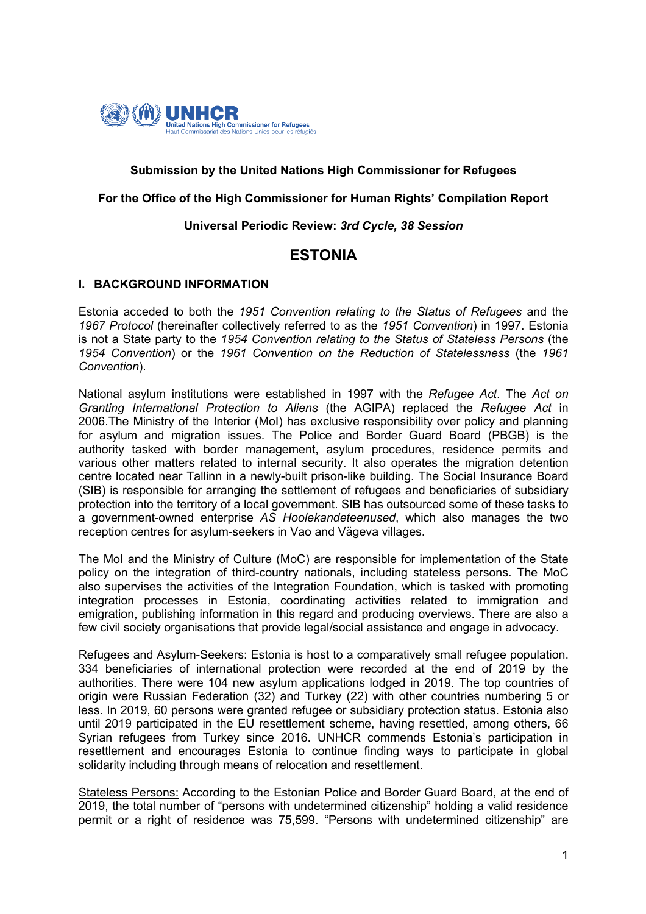

## **Submission by the United Nations High Commissioner for Refugees**

#### **For the Office of the High Commissioner for Human Rights' Compilation Report**

#### **Universal Periodic Review:** *3rd Cycle, 38 Session*

# **ESTONIA**

#### **I. BACKGROUND INFORMATION**

Estonia acceded to both the *1951 Convention relating to the Status of Refugees* and the *1967 Protocol* (hereinafter collectively referred to as the *1951 Convention*) in 1997. Estonia is not a State party to the *1954 Convention relating to the Status of Stateless Persons* (the *1954 Convention*) or the *1961 Convention on the Reduction of Statelessness* (the *1961 Convention*).

National asylum institutions were established in 1997 with the *Refugee Act*. The *Act on Granting International Protection to Aliens* (the AGIPA) replaced the *Refugee Act* in 2006.The Ministry of the Interior (MoI) has exclusive responsibility over policy and planning for asylum and migration issues. The Police and Border Guard Board (PBGB) is the authority tasked with border management, asylum procedures, residence permits and various other matters related to internal security. It also operates the migration detention centre located near Tallinn in a newly-built prison-like building. The Social Insurance Board (SIB) is responsible for arranging the settlement of refugees and beneficiaries of subsidiary protection into the territory of a local government. SIB has outsourced some of these tasks to a government-owned enterprise *AS Hoolekandeteenused*, which also manages the two reception centres for asylum-seekers in Vao and Vägeva villages.

The MoI and the Ministry of Culture (MoC) are responsible for implementation of the State policy on the integration of third-country nationals, including stateless persons. The MoC also supervises the activities of the Integration Foundation, which is tasked with promoting integration processes in Estonia, coordinating activities related to immigration and emigration, publishing information in this regard and producing overviews. There are also a few civil society organisations that provide legal/social assistance and engage in advocacy.

Refugees and Asylum-Seekers: Estonia is host to a comparatively small refugee population. 334 beneficiaries of international protection were recorded at the end of 2019 by the authorities. There were 104 new asylum applications lodged in 2019. The top countries of origin were Russian Federation (32) and Turkey (22) with other countries numbering 5 or less. In 2019, 60 persons were granted refugee or subsidiary protection status. Estonia also until 2019 participated in the EU resettlement scheme, having resettled, among others, 66 Syrian refugees from Turkey since 2016. UNHCR commends Estonia's participation in resettlement and encourages Estonia to continue finding ways to participate in global solidarity including through means of relocation and resettlement.

Stateless Persons: According to the Estonian Police and Border Guard Board, at the end of 2019, the total number of "persons with undetermined citizenship" holding a valid residence permit or a right of residence was 75,599. "Persons with undetermined citizenship" are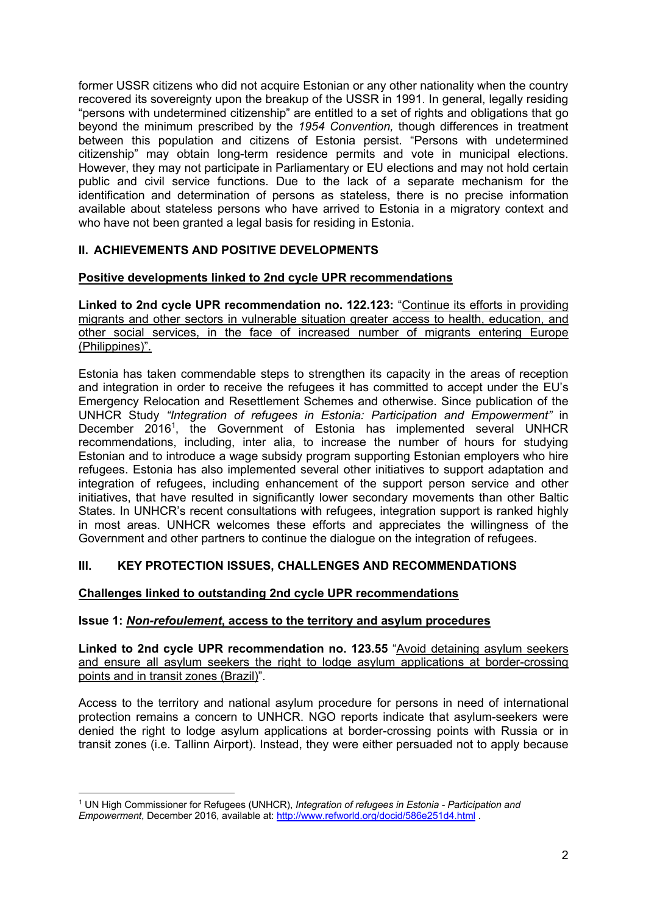former USSR citizens who did not acquire Estonian or any other nationality when the country recovered its sovereignty upon the breakup of the USSR in 1991. In general, legally residing "persons with undetermined citizenship" are entitled to a set of rights and obligations that go beyond the minimum prescribed by the *1954 Convention,* though differences in treatment between this population and citizens of Estonia persist. "Persons with undetermined citizenship" may obtain long-term residence permits and vote in municipal elections. However, they may not participate in Parliamentary or EU elections and may not hold certain public and civil service functions. Due to the lack of a separate mechanism for the identification and determination of persons as stateless, there is no precise information available about stateless persons who have arrived to Estonia in a migratory context and who have not been granted a legal basis for residing in Estonia.

# **II. ACHIEVEMENTS AND POSITIVE DEVELOPMENTS**

## **Positive developments linked to 2nd cycle UPR recommendations**

**Linked to 2nd cycle UPR recommendation no. 122.123:** "Continue its efforts in providing migrants and other sectors in vulnerable situation greater access to health, education, and other social services, in the face of increased number of migrants entering Europe (Philippines)"*.*

Estonia has taken commendable steps to strengthen its capacity in the areas of reception and integration in order to receive the refugees it has committed to accept under the EU's Emergency Relocation and Resettlement Schemes and otherwise. Since publication of the UNHCR Study *"Integration of refugees in Estonia: Participation and Empowerment"* in December 2016<sup>1</sup>, the Government of Estonia has implemented several UNHCR recommendations, including, inter alia, to increase the number of hours for studying Estonian and to introduce a wage subsidy program supporting Estonian employers who hire refugees. Estonia has also implemented several other initiatives to support adaptation and integration of refugees, including enhancement of the support person service and other initiatives, that have resulted in significantly lower secondary movements than other Baltic States. In UNHCR's recent consultations with refugees, integration support is ranked highly in most areas. UNHCR welcomes these efforts and appreciates the willingness of the Government and other partners to continue the dialogue on the integration of refugees.

# **III. KEY PROTECTION ISSUES, CHALLENGES AND RECOMMENDATIONS**

## **Challenges linked to outstanding 2nd cycle UPR recommendations**

## **Issue 1:** *Non-refoulement***, access to the territory and asylum procedures**

**Linked to 2nd cycle UPR recommendation no. 123.55** "Avoid detaining asylum seekers and ensure all asylum seekers the right to lodge asylum applications at border-crossing points and in transit zones (Brazil)".

Access to the territory and national asylum procedure for persons in need of international protection remains a concern to UNHCR. NGO reports indicate that asylum-seekers were denied the right to lodge asylum applications at border-crossing points with Russia or in transit zones (i.e. Tallinn Airport). Instead, they were either persuaded not to apply because

<sup>1</sup> UN High Commissioner for Refugees (UNHCR), *Integration of refugees in Estonia - Participation and Empowerment*, December 2016, available at: http://www.refworld.org/docid/586e251d4.html .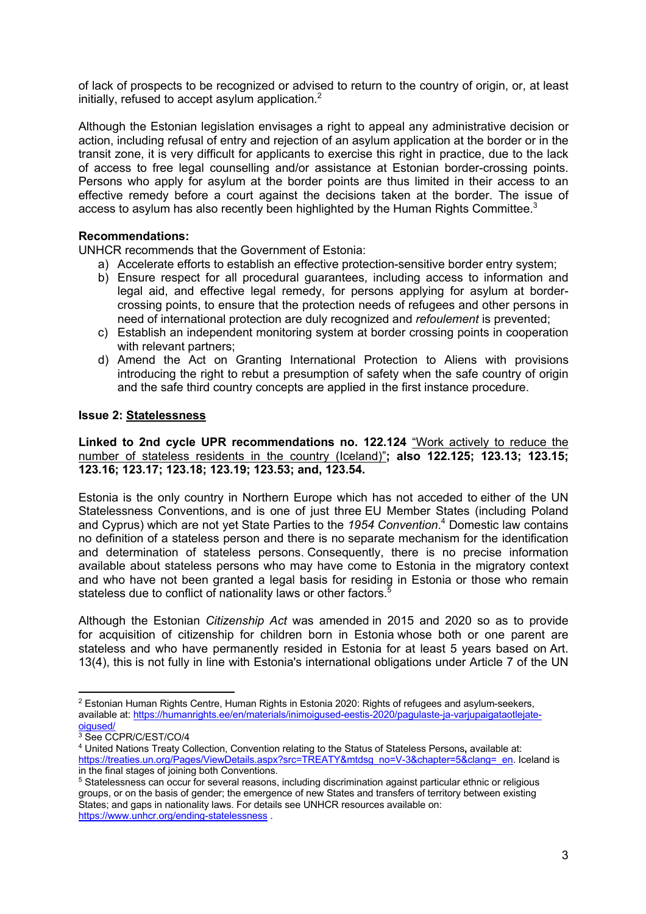of lack of prospects to be recognized or advised to return to the country of origin, or, at least initially, refused to accept asylum application.<sup>2</sup>

Although the Estonian legislation envisages a right to appeal any administrative decision or action, including refusal of entry and rejection of an asylum application at the border or in the transit zone, it is very difficult for applicants to exercise this right in practice, due to the lack of access to free legal counselling and/or assistance at Estonian border-crossing points. Persons who apply for asylum at the border points are thus limited in their access to an effective remedy before a court against the decisions taken at the border. The issue of access to asylum has also recently been highlighted by the Human Rights Committee.<sup>3</sup>

## **Recommendations:**

UNHCR recommends that the Government of Estonia:

- a) Accelerate efforts to establish an effective protection-sensitive border entry system;
- b) Ensure respect for all procedural guarantees, including access to information and legal aid, and effective legal remedy, for persons applying for asylum at bordercrossing points, to ensure that the protection needs of refugees and other persons in need of international protection are duly recognized and *refoulement* is prevented;
- c) Establish an independent monitoring system at border crossing points in cooperation with relevant partners;
- d) Amend the Act on Granting International Protection to Aliens with provisions introducing the right to rebut a presumption of safety when the safe country of origin and the safe third country concepts are applied in the first instance procedure.

#### **Issue 2: Statelessness**

**Linked to 2nd cycle UPR recommendations no. 122.124** "Work actively to reduce the number of stateless residents in the country (Iceland)"**; also 122.125; 123.13; 123.15; 123.16; 123.17; 123.18; 123.19; 123.53; and, 123.54.**

Estonia is the only country in Northern Europe which has not acceded to either of the UN Statelessness Conventions, and is one of just three EU Member States (including Poland and Cyprus) which are not yet State Parties to the *1954 Convention*. <sup>4</sup> Domestic law contains no definition of a stateless person and there is no separate mechanism for the identification and determination of stateless persons. Consequently, there is no precise information available about stateless persons who may have come to Estonia in the migratory context and who have not been granted a legal basis for residing in Estonia or those who remain stateless due to conflict of nationality laws or other factors.<sup>5</sup>

Although the Estonian *Citizenship Act* was amended in 2015 and 2020 so as to provide for acquisition of citizenship for children born in Estonia whose both or one parent are stateless and who have permanently resided in Estonia for at least 5 years based on Art. 13(4), this is not fully in line with Estonia's international obligations under Article 7 of the UN

 $2$  Estonian Human Rights Centre, Human Rights in Estonia 2020: Rights of refugees and asylum-seekers, available at: https://humanrights.ee/en/materials/inimoigused-eestis-2020/pagulaste-ja-varjupaigataotlejateoigused/

<sup>3</sup> See CCPR/C/EST/CO/4

<sup>4</sup> United Nations Treaty Collection, Convention relating to the Status of Stateless Persons**,** available at: https://treaties.un.org/Pages/ViewDetails.aspx?src=TREATY&mtdsg\_no=V-3&chapter=5&clang=\_en. Iceland is in the final stages of joining both Conventions.

<sup>5</sup> Statelessness can occur for several reasons, including discrimination against particular ethnic or religious groups, or on the basis of gender; the emergence of new States and transfers of territory between existing States; and gaps in nationality laws. For details see UNHCR resources available on: https://www.unhcr.org/ending-statelessness .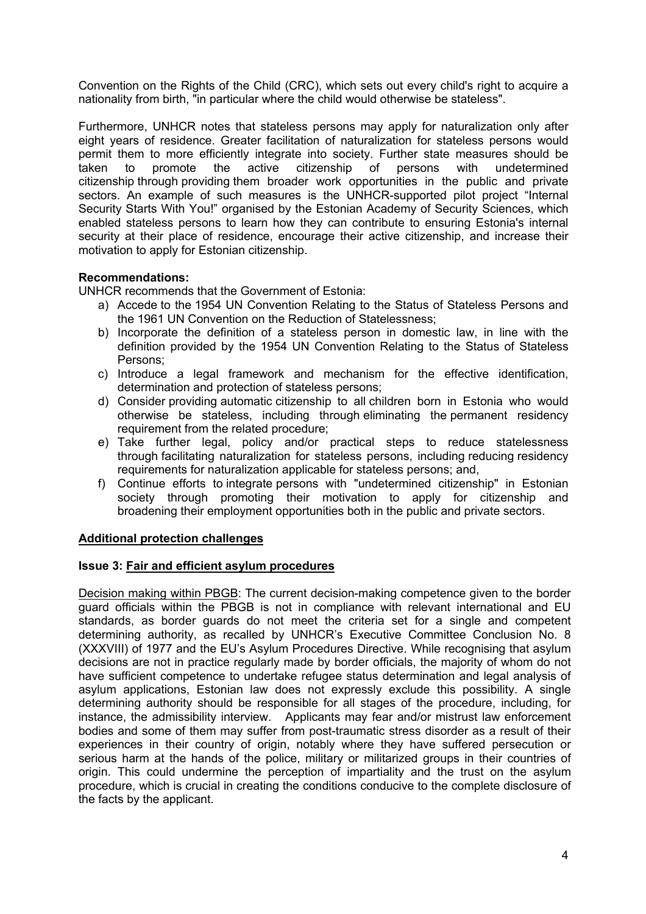Convention on the Rights of the Child (CRC), which sets out every child's right to acquire a nationality from birth, "in particular where the child would otherwise be stateless".

Furthermore, UNHCR notes that stateless persons may apply for naturalization only after eight years of residence. Greater facilitation of naturalization for stateless persons would permit them to more efficiently integrate into society. Further state measures should be taken to promote the active citizenship of persons with undetermined citizenship through providing them broader work opportunities in the public and private sectors. An example of such measures is the UNHCR-supported pilot project "Internal Security Starts With You!" organised by the Estonian Academy of Security Sciences, which enabled stateless persons to learn how they can contribute to ensuring Estonia's internal security at their place of residence, encourage their active citizenship, and increase their motivation to apply for Estonian citizenship.

# **Recommendations:**

UNHCR recommends that the Government of Estonia:

- a) Accede to the 1954 UN Convention Relating to the Status of Stateless Persons and the 1961 UN Convention on the Reduction of Statelessness;
- b) Incorporate the definition of a stateless person in domestic law, in line with the definition provided by the 1954 UN Convention Relating to the Status of Stateless Persons;
- c) Introduce a legal framework and mechanism for the effective identification, determination and protection of stateless persons;
- d) Consider providing automatic citizenship to all children born in Estonia who would otherwise be stateless, including through eliminating the permanent residency requirement from the related procedure;
- e) Take further legal, policy and/or practical steps to reduce statelessness through facilitating naturalization for stateless persons, including reducing residency requirements for naturalization applicable for stateless persons; and,
- f) Continue efforts to integrate persons with "undetermined citizenship" in Estonian society through promoting their motivation to apply for citizenship and broadening their employment opportunities both in the public and private sectors.

## **Additional protection challenges**

## **Issue 3: Fair and efficient asylum procedures**

Decision making within PBGB: The current decision-making competence given to the border guard officials within the PBGB is not in compliance with relevant international and EU standards, as border guards do not meet the criteria set for a single and competent determining authority, as recalled by UNHCR's Executive Committee Conclusion No. 8 (XXXVIII) of 1977 and the EU's Asylum Procedures Directive. While recognising that asylum decisions are not in practice regularly made by border officials, the majority of whom do not have sufficient competence to undertake refugee status determination and legal analysis of asylum applications, Estonian law does not expressly exclude this possibility. A single determining authority should be responsible for all stages of the procedure, including, for instance, the admissibility interview. Applicants may fear and/or mistrust law enforcement bodies and some of them may suffer from post-traumatic stress disorder as a result of their experiences in their country of origin, notably where they have suffered persecution or serious harm at the hands of the police, military or militarized groups in their countries of origin. This could undermine the perception of impartiality and the trust on the asylum procedure, which is crucial in creating the conditions conducive to the complete disclosure of the facts by the applicant.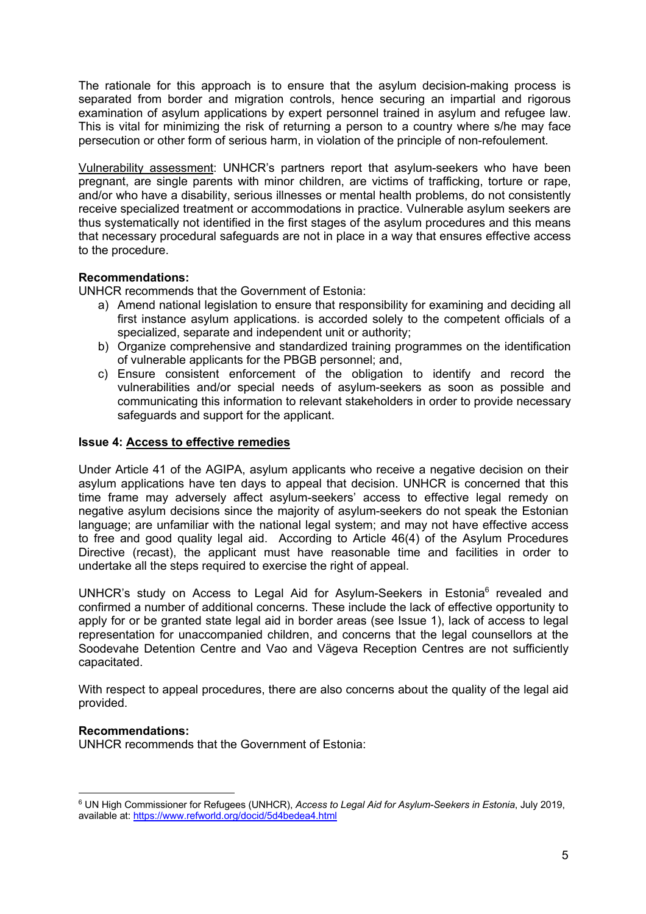The rationale for this approach is to ensure that the asylum decision-making process is separated from border and migration controls, hence securing an impartial and rigorous examination of asylum applications by expert personnel trained in asylum and refugee law. This is vital for minimizing the risk of returning a person to a country where s/he may face persecution or other form of serious harm, in violation of the principle of non-refoulement.

Vulnerability assessment: UNHCR's partners report that asylum-seekers who have been pregnant, are single parents with minor children, are victims of trafficking, torture or rape, and/or who have a disability, serious illnesses or mental health problems, do not consistently receive specialized treatment or accommodations in practice. Vulnerable asylum seekers are thus systematically not identified in the first stages of the asylum procedures and this means that necessary procedural safeguards are not in place in a way that ensures effective access to the procedure.

# **Recommendations:**

UNHCR recommends that the Government of Estonia:

- a) Amend national legislation to ensure that responsibility for examining and deciding all first instance asylum applications. is accorded solely to the competent officials of a specialized, separate and independent unit or authority;
- b) Organize comprehensive and standardized training programmes on the identification of vulnerable applicants for the PBGB personnel; and,
- c) Ensure consistent enforcement of the obligation to identify and record the vulnerabilities and/or special needs of asylum-seekers as soon as possible and communicating this information to relevant stakeholders in order to provide necessary safeguards and support for the applicant.

## **Issue 4: Access to effective remedies**

Under Article 41 of the AGIPA, asylum applicants who receive a negative decision on their asylum applications have ten days to appeal that decision. UNHCR is concerned that this time frame may adversely affect asylum-seekers' access to effective legal remedy on negative asylum decisions since the majority of asylum-seekers do not speak the Estonian language; are unfamiliar with the national legal system; and may not have effective access to free and good quality legal aid. According to Article 46(4) of the Asylum Procedures Directive (recast), the applicant must have reasonable time and facilities in order to undertake all the steps required to exercise the right of appeal.

UNHCR's study on Access to Legal Aid for Asylum-Seekers in Estonia<sup>6</sup> revealed and confirmed a number of additional concerns. These include the lack of effective opportunity to apply for or be granted state legal aid in border areas (see Issue 1), lack of access to legal representation for unaccompanied children, and concerns that the legal counsellors at the Soodevahe Detention Centre and Vao and Vägeva Reception Centres are not sufficiently capacitated.

With respect to appeal procedures, there are also concerns about the quality of the legal aid provided.

## **Recommendations:**

UNHCR recommends that the Government of Estonia:

<sup>6</sup> UN High Commissioner for Refugees (UNHCR), *Access to Legal Aid for Asylum-Seekers in Estonia*, July 2019, available at: https://www.refworld.org/docid/5d4bedea4.html